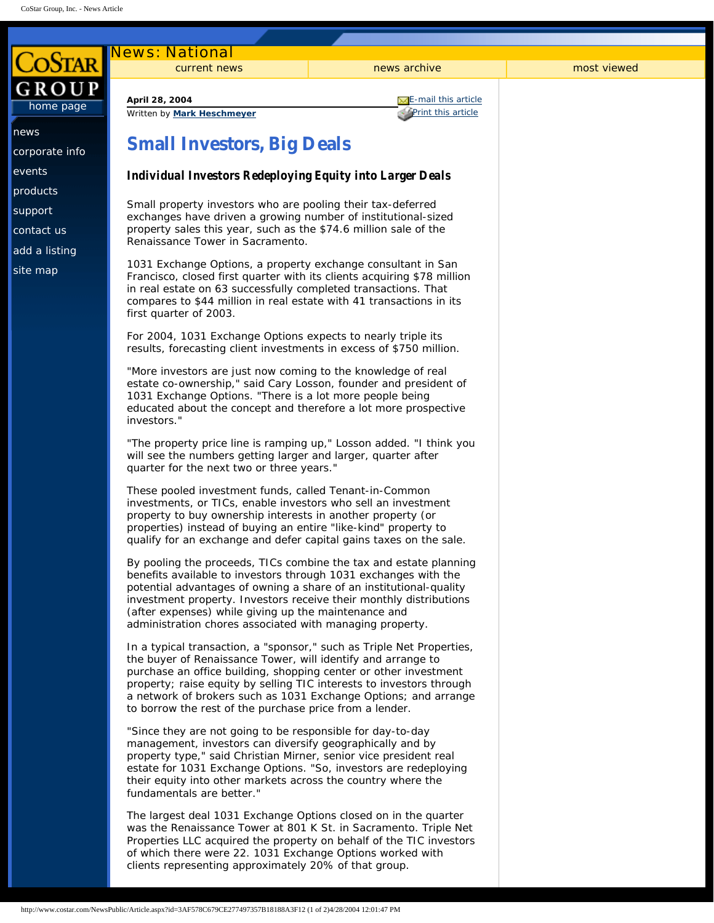